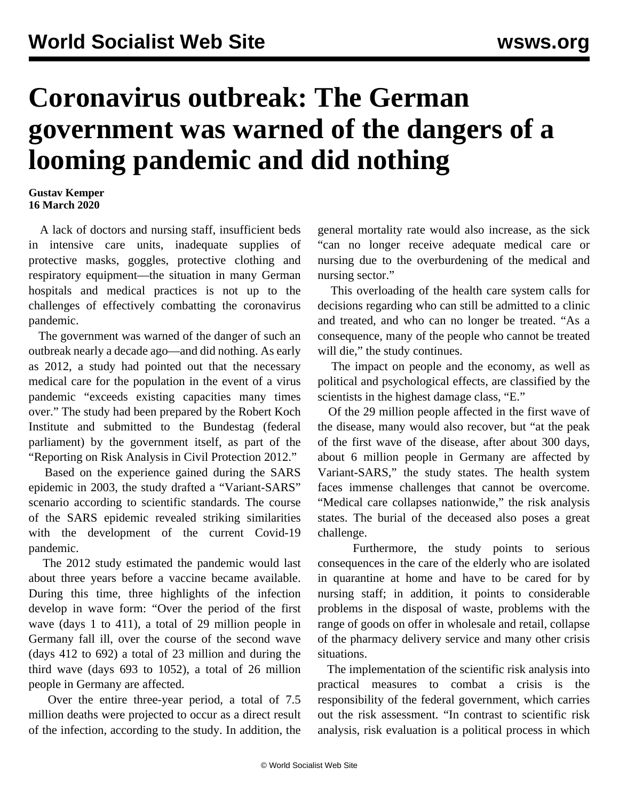## **Coronavirus outbreak: The German government was warned of the dangers of a looming pandemic and did nothing**

## **Gustav Kemper 16 March 2020**

 A lack of doctors and nursing staff, insufficient beds in intensive care units, inadequate supplies of protective masks, goggles, protective clothing and respiratory equipment—the situation in many German hospitals and medical practices is not up to the challenges of effectively combatting the coronavirus pandemic.

 The government was warned of the danger of such an outbreak nearly a decade ago—and did nothing. As early as 2012, a study had pointed out that the necessary medical care for the population in the event of a virus pandemic "exceeds existing capacities many times over." The study had been prepared by the Robert Koch Institute and submitted to the Bundestag (federal parliament) by the government itself, as part of the "Reporting on Risk Analysis in Civil Protection 2012."

 Based on the experience gained during the SARS epidemic in 2003, the study drafted a "Variant-SARS" scenario according to scientific standards. The course of the SARS epidemic revealed striking similarities with the development of the current Covid-19 pandemic.

 The 2012 study estimated the pandemic would last about three years before a vaccine became available. During this time, three highlights of the infection develop in wave form: "Over the period of the first wave (days 1 to 411), a total of 29 million people in Germany fall ill, over the course of the second wave (days 412 to 692) a total of 23 million and during the third wave (days 693 to 1052), a total of 26 million people in Germany are affected.

 Over the entire three-year period, a total of 7.5 million deaths were projected to occur as a direct result of the infection, according to the study. In addition, the general mortality rate would also increase, as the sick "can no longer receive adequate medical care or nursing due to the overburdening of the medical and nursing sector."

 This overloading of the health care system calls for decisions regarding who can still be admitted to a clinic and treated, and who can no longer be treated. "As a consequence, many of the people who cannot be treated will die," the study continues.

 The impact on people and the economy, as well as political and psychological effects, are classified by the scientists in the highest damage class, "E."

 Of the 29 million people affected in the first wave of the disease, many would also recover, but "at the peak of the first wave of the disease, after about 300 days, about 6 million people in Germany are affected by Variant-SARS," the study states. The health system faces immense challenges that cannot be overcome. "Medical care collapses nationwide," the risk analysis states. The burial of the deceased also poses a great challenge.

 Furthermore, the study points to serious consequences in the care of the elderly who are isolated in quarantine at home and have to be cared for by nursing staff; in addition, it points to considerable problems in the disposal of waste, problems with the range of goods on offer in wholesale and retail, collapse of the pharmacy delivery service and many other crisis situations.

 The implementation of the scientific risk analysis into practical measures to combat a crisis is the responsibility of the federal government, which carries out the risk assessment. "In contrast to scientific risk analysis, risk evaluation is a political process in which